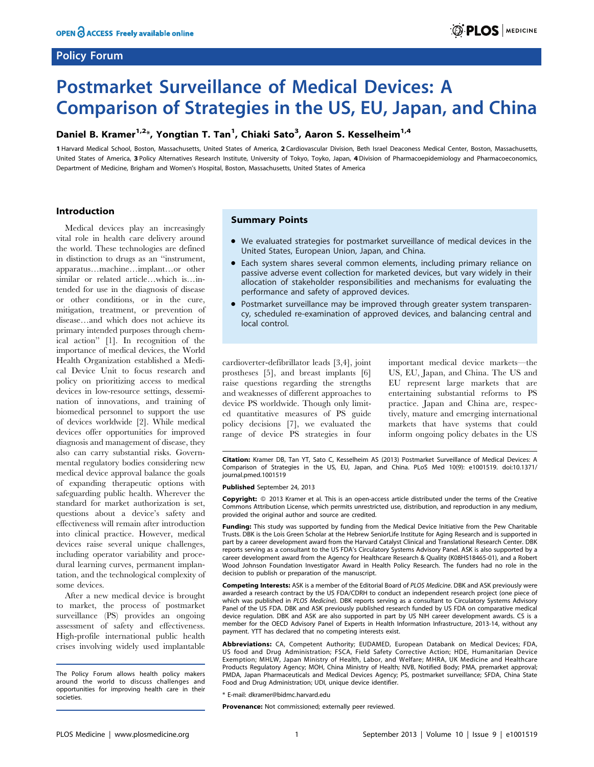# Policy Forum



# Postmarket Surveillance of Medical Devices: A Comparison of Strategies in the US, EU, Japan, and China

# Daniel B. Kramer<sup>1,2\*</sup>, Yongtian T. Tan<sup>1</sup>, Chiaki Sato<sup>3</sup>, Aaron S. Kesselheim<sup>1,4</sup>

1 Harvard Medical School, Boston, Massachusetts, United States of America, 2 Cardiovascular Division, Beth Israel Deaconess Medical Center, Boston, Massachusetts, United States of America, 3 Policy Alternatives Research Institute, University of Tokyo, Toyko, Japan, 4 Division of Pharmacoepidemiology and Pharmacoeconomics, Department of Medicine, Brigham and Women's Hospital, Boston, Massachusetts, United States of America

# Introduction

Medical devices play an increasingly vital role in health care delivery around the world. These technologies are defined in distinction to drugs as an ''instrument, apparatus…machine…implant…or other similar or related article…which is…intended for use in the diagnosis of disease or other conditions, or in the cure, mitigation, treatment, or prevention of disease…and which does not achieve its primary intended purposes through chemical action'' [1]. In recognition of the importance of medical devices, the World Health Organization established a Medical Device Unit to focus research and policy on prioritizing access to medical devices in low-resource settings, dessemination of innovations, and training of biomedical personnel to support the use of devices worldwide [2]. While medical devices offer opportunities for improved diagnosis and management of disease, they also can carry substantial risks. Governmental regulatory bodies considering new medical device approval balance the goals of expanding therapeutic options with safeguarding public health. Wherever the standard for market authorization is set, questions about a device's safety and effectiveness will remain after introduction into clinical practice. However, medical devices raise several unique challenges, including operator variability and procedural learning curves, permanent implantation, and the technological complexity of some devices.

After a new medical device is brought to market, the process of postmarket surveillance (PS) provides an ongoing assessment of safety and effectiveness. High-profile international public health crises involving widely used implantable

#### Summary Points

- We evaluated strategies for postmarket surveillance of medical devices in the United States, European Union, Japan, and China.
- Each system shares several common elements, including primary reliance on passive adverse event collection for marketed devices, but vary widely in their allocation of stakeholder responsibilities and mechanisms for evaluating the performance and safety of approved devices.
- Postmarket surveillance may be improved through greater system transparency, scheduled re-examination of approved devices, and balancing central and local control.

cardioverter-defibrillator leads [3,4], joint prostheses [5], and breast implants [6] raise questions regarding the strengths and weaknesses of different approaches to device PS worldwide. Though only limited quantitative measures of PS guide policy decisions [7], we evaluated the range of device PS strategies in four important medical device markets—the US, EU, Japan, and China. The US and EU represent large markets that are entertaining substantial reforms to PS practice. Japan and China are, respectively, mature and emerging international markets that have systems that could inform ongoing policy debates in the US

Citation: Kramer DB, Tan YT, Sato C, Kesselheim AS (2013) Postmarket Surveillance of Medical Devices: A Comparison of Strategies in the US, EU, Japan, and China. PLoS Med 10(9): e1001519. doi:10.1371/ journal.pmed.1001519

Published September 24, 2013

Copyright: © 2013 Kramer et al. This is an open-access article distributed under the terms of the Creative Commons Attribution License, which permits unrestricted use, distribution, and reproduction in any medium, provided the original author and source are credited.

Funding: This study was supported by funding from the Medical Device Initiative from the Pew Charitable Trusts. DBK is the Lois Green Scholar at the Hebrew SeniorLife Institute for Aging Research and is supported in part by a career development award from the Harvard Catalyst Clinical and Translational Research Center. DBK reports serving as a consultant to the US FDA's Circulatory Systems Advisory Panel. ASK is also supported by a career development award from the Agency for Healthcare Research & Quality (K08HS18465-01), and a Robert Wood Johnson Foundation Investigator Award in Health Policy Research. The funders had no role in the decision to publish or preparation of the manuscript.

Competing Interests: ASK is a member of the Editorial Board of PLOS Medicine. DBK and ASK previously were awarded a research contract by the US FDA/CDRH to conduct an independent research project (one piece of which was published in PLOS Medicine). DBK reports serving as a consultant to Circulatory Systems Advisory Panel of the US FDA. DBK and ASK previously published research funded by US FDA on comparative medical device regulation. DBK and ASK are also supported in part by US NIH career development awards. CS is a member for the OECD Advisory Panel of Experts in Health Information Infrastructure, 2013-14, without any payment. YTT has declared that no competing interests exist.

Abbreviations: CA, Competent Authority; EUDAMED, European Databank on Medical Devices; FDA, US food and Drug Administration; FSCA, Field Safety Corrective Action; HDE, Humanitarian Device Exemption; MHLW, Japan Ministry of Health, Labor, and Welfare; MHRA, UK Medicine and Healthcare Products Regulatory Agency; MOH, China Ministry of Health; NVB, Notified Body; PMA, premarket approval; PMDA, Japan Pharmaceuticals and Medical Devices Agency; PS, postmarket surveillance; SFDA, China State Food and Drug Administration; UDI, unique device identifier.

E-mail: dkramer@bidmc.harvard.edu

The Policy Forum allows health policy makers around the world to discuss challenges and opportunities for improving health care in their societies.

Provenance: Not commissioned; externally peer reviewed.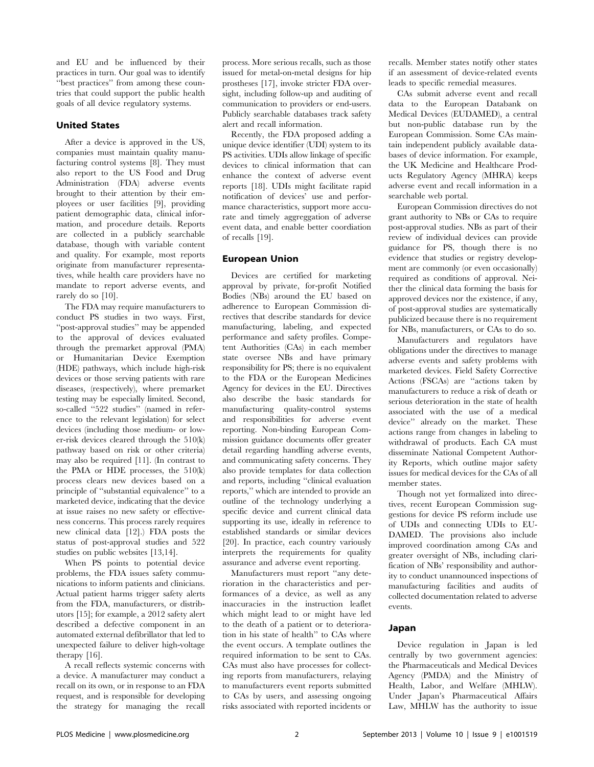and EU and be influenced by their practices in turn. Our goal was to identify ''best practices'' from among these countries that could support the public health goals of all device regulatory systems.

## United States

After a device is approved in the US, companies must maintain quality manufacturing control systems [8]. They must also report to the US Food and Drug Administration (FDA) adverse events brought to their attention by their employees or user facilities [9], providing patient demographic data, clinical information, and procedure details. Reports are collected in a publicly searchable database, though with variable content and quality. For example, most reports originate from manufacturer representatives, while health care providers have no mandate to report adverse events, and rarely do so [10].

The FDA may require manufacturers to conduct PS studies in two ways. First, ''post-approval studies'' may be appended to the approval of devices evaluated through the premarket approval (PMA) or Humanitarian Device Exemption (HDE) pathways, which include high-risk devices or those serving patients with rare diseases, (respectively), where premarket testing may be especially limited. Second, so-called ''522 studies'' (named in reference to the relevant legislation) for select devices (including those medium- or lower-risk devices cleared through the 510(k) pathway based on risk or other criteria) may also be required [11]. (In contrast to the PMA or HDE processes, the 510(k) process clears new devices based on a principle of ''substantial equivalence'' to a marketed device, indicating that the device at issue raises no new safety or effectiveness concerns. This process rarely requires new clinical data [12].) FDA posts the status of post-approval studies and 522 studies on public websites [13,14].

When PS points to potential device problems, the FDA issues safety communications to inform patients and clinicians. Actual patient harms trigger safety alerts from the FDA, manufacturers, or distributors [15]; for example, a 2012 safety alert described a defective component in an automated external defibrillator that led to unexpected failure to deliver high-voltage therapy [16].

A recall reflects systemic concerns with a device. A manufacturer may conduct a recall on its own, or in response to an FDA request, and is responsible for developing the strategy for managing the recall process. More serious recalls, such as those issued for metal-on-metal designs for hip prostheses [17], invoke stricter FDA oversight, including follow-up and auditing of communication to providers or end-users. Publicly searchable databases track safety alert and recall information.

Recently, the FDA proposed adding a unique device identifier (UDI) system to its PS activities. UDIs allow linkage of specific devices to clinical information that can enhance the context of adverse event reports [18]. UDIs might facilitate rapid notification of devices' use and performance characteristics, support more accurate and timely aggreggation of adverse event data, and enable better coordiation of recalls [19].

### European Union

Devices are certified for marketing approval by private, for-profit Notified Bodies (NBs) around the EU based on adherence to European Commission directives that describe standards for device manufacturing, labeling, and expected performance and safety profiles. Competent Authorities (CAs) in each member state oversee NBs and have primary responsibility for PS; there is no equivalent to the FDA or the European Medicines Agency for devices in the EU. Directives also describe the basic standards for manufacturing quality-control systems and responsibilities for adverse event reporting. Non-binding European Commission guidance documents offer greater detail regarding handling adverse events, and communicating safety concerns. They also provide templates for data collection and reports, including ''clinical evaluation reports,'' which are intended to provide an outline of the technology underlying a specific device and current clinical data supporting its use, ideally in reference to established standards or similar devices [20]. In practice, each country variously interprets the requirements for quality assurance and adverse event reporting.

Manufacturers must report ''any deterioration in the characteristics and performances of a device, as well as any inaccuracies in the instruction leaflet which might lead to or might have led to the death of a patient or to deterioration in his state of health'' to CAs where the event occurs. A template outlines the required information to be sent to CAs. CAs must also have processes for collecting reports from manufacturers, relaying to manufacturers event reports submitted to CAs by users, and assessing ongoing risks associated with reported incidents or

recalls. Member states notify other states if an assessment of device-related events leads to specific remedial measures.

CAs submit adverse event and recall data to the European Databank on Medical Devices (EUDAMED), a central but non-public database run by the European Commission. Some CAs maintain independent publicly available databases of device information. For example, the UK Medicine and Healthcare Products Regulatory Agency (MHRA) keeps adverse event and recall information in a searchable web portal.

European Commission directives do not grant authority to NBs or CAs to require post-approval studies. NBs as part of their review of individual devices can provide guidance for PS, though there is no evidence that studies or registry development are commonly (or even occasionally) required as conditions of approval. Neither the clinical data forming the basis for approved devices nor the existence, if any, of post-approval studies are systematically publicized because there is no requirement for NBs, manufacturers, or CAs to do so.

Manufacturers and regulators have obligations under the directives to manage adverse events and safety problems with marketed devices. Field Safety Corrective Actions (FSCAs) are ''actions taken by manufacturers to reduce a risk of death or serious deterioration in the state of health associated with the use of a medical device'' already on the market. These actions range from changes in labeling to withdrawal of products. Each CA must disseminate National Competent Authority Reports, which outline major safety issues for medical devices for the CAs of all member states.

Though not yet formalized into directives, recent European Commission suggestions for device PS reform include use of UDIs and connecting UDIs to EU-DAMED. The provisions also include improved coordination among CAs and greater oversight of NBs, including clarification of NBs' responsibility and authority to conduct unannounced inspections of manufacturing facilities and audits of collected documentation related to adverse events.

### Japan

Device regulation in Japan is led centrally by two government agencies: the Pharmaceuticals and Medical Devices Agency (PMDA) and the Ministry of Health, Labor, and Welfare (MHLW). Under Japan's Pharmaceutical Affairs Law, MHLW has the authority to issue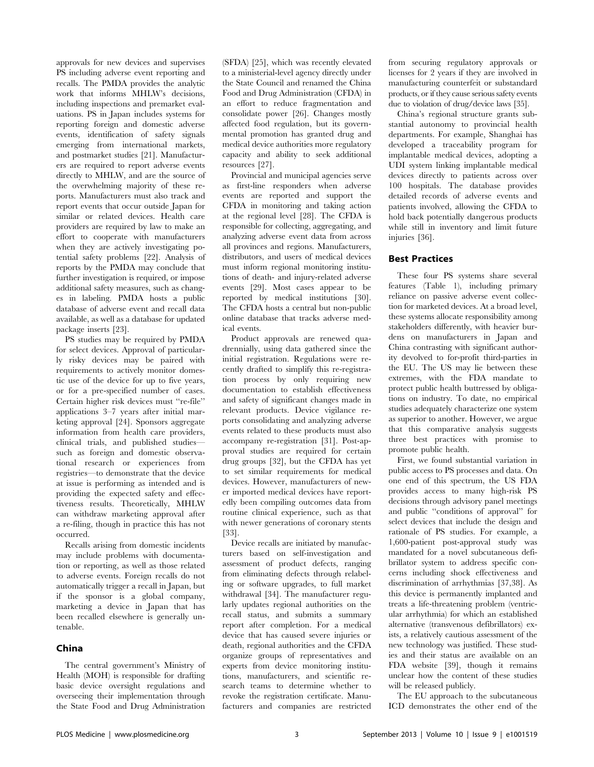approvals for new devices and supervises PS including adverse event reporting and recalls. The PMDA provides the analytic work that informs MHLW's decisions, including inspections and premarket evaluations. PS in Japan includes systems for reporting foreign and domestic adverse events, identification of safety signals emerging from international markets, and postmarket studies [21]. Manufacturers are required to report adverse events directly to MHLW, and are the source of the overwhelming majority of these reports. Manufacturers must also track and report events that occur outside Japan for similar or related devices. Health care providers are required by law to make an effort to cooperate with manufacturers when they are actively investigating potential safety problems [22]. Analysis of reports by the PMDA may conclude that further investigation is required, or impose additional safety measures, such as changes in labeling. PMDA hosts a public database of adverse event and recall data available, as well as a database for updated package inserts [23].

PS studies may be required by PMDA for select devices. Approval of particularly risky devices may be paired with requirements to actively monitor domestic use of the device for up to five years, or for a pre-specified number of cases. Certain higher risk devices must ''re-file'' applications 3–7 years after initial marketing approval [24]. Sponsors aggregate information from health care providers, clinical trials, and published studies such as foreign and domestic observational research or experiences from registries—to demonstrate that the device at issue is performing as intended and is providing the expected safety and effectiveness results. Theoretically, MHLW can withdraw marketing approval after a re-filing, though in practice this has not occurred.

Recalls arising from domestic incidents may include problems with documentation or reporting, as well as those related to adverse events. Foreign recalls do not automatically trigger a recall in Japan, but if the sponsor is a global company, marketing a device in Japan that has been recalled elsewhere is generally untenable.

### China

The central government's Ministry of Health (MOH) is responsible for drafting basic device oversight regulations and overseeing their implementation through the State Food and Drug Administration

(SFDA) [25], which was recently elevated to a ministerial-level agency directly under the State Council and renamed the China Food and Drug Administration (CFDA) in an effort to reduce fragmentation and consolidate power [26]. Changes mostly affected food regulation, but its governmental promotion has granted drug and medical device authorities more regulatory capacity and ability to seek additional resources [27].

Provincial and municipal agencies serve as first-line responders when adverse events are reported and support the CFDA in monitoring and taking action at the regional level [28]. The CFDA is responsible for collecting, aggregating, and analyzing adverse event data from across all provinces and regions. Manufacturers, distributors, and users of medical devices must inform regional monitoring institutions of death- and injury-related adverse events [29]. Most cases appear to be reported by medical institutions [30]. The CFDA hosts a central but non-public online database that tracks adverse medical events.

Product approvals are renewed quadrennially, using data gathered since the initial registration. Regulations were recently drafted to simplify this re-registration process by only requiring new documentation to establish effectiveness and safety of significant changes made in relevant products. Device vigilance reports consolidating and analyzing adverse events related to these products must also accompany re-registration [31]. Post-approval studies are required for certain drug groups [32], but the CFDA has yet to set similar requirements for medical devices. However, manufacturers of newer imported medical devices have reportedly been compiling outcomes data from routine clinical experience, such as that with newer generations of coronary stents [33].

Device recalls are initiated by manufacturers based on self-investigation and assessment of product defects, ranging from eliminating defects through relabeling or software upgrades, to full market withdrawal [34]. The manufacturer regularly updates regional authorities on the recall status, and submits a summary report after completion. For a medical device that has caused severe injuries or death, regional authorities and the CFDA organize groups of representatives and experts from device monitoring institutions, manufacturers, and scientific research teams to determine whether to revoke the registration certificate. Manufacturers and companies are restricted

from securing regulatory approvals or licenses for 2 years if they are involved in manufacturing counterfeit or substandard products, or if they cause serious safety events due to violation of drug/device laws [35].

China's regional structure grants substantial autonomy to provincial health departments. For example, Shanghai has developed a traceability program for implantable medical devices, adopting a UDI system linking implantable medical devices directly to patients across over 100 hospitals. The database provides detailed records of adverse events and patients involved, allowing the CFDA to hold back potentially dangerous products while still in inventory and limit future injuries [36].

## Best Practices

These four PS systems share several features (Table 1), including primary reliance on passive adverse event collection for marketed devices. At a broad level, these systems allocate responsibility among stakeholders differently, with heavier burdens on manufacturers in Japan and China contrasting with significant authority devolved to for-profit third-parties in the EU. The US may lie between these extremes, with the FDA mandate to protect public health buttressed by obligations on industry. To date, no empirical studies adequately characterize one system as superior to another. However, we argue that this comparative analysis suggests three best practices with promise to promote public health.

First, we found substantial variation in public access to PS processes and data. On one end of this spectrum, the US FDA provides access to many high-risk PS decisions through advisory panel meetings and public ''conditions of approval'' for select devices that include the design and rationale of PS studies. For example, a 1,600-patient post-approval study was mandated for a novel subcutaneous defibrillator system to address specific concerns including shock effectiveness and discrimination of arrhythmias [37,38]. As this device is permanently implanted and treats a life-threatening problem (ventricular arrhythmia) for which an established alternative (transvenous defibrillators) exists, a relatively cautious assessment of the new technology was justified. These studies and their status are available on an FDA website [39], though it remains unclear how the content of these studies will be released publicly.

The EU approach to the subcutaneous ICD demonstrates the other end of the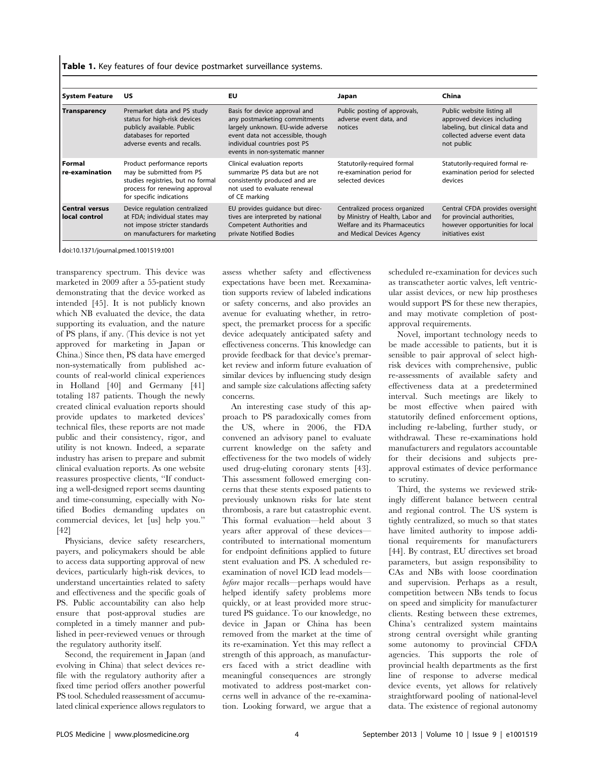Table 1. Key features of four device postmarket surveillance systems.

| <b>System Feature</b>                  | บร                                                                                                                                                        | EU                                                                                                                                                                                                         | Japan                                                                                                                            | China                                                                                                                                     |
|----------------------------------------|-----------------------------------------------------------------------------------------------------------------------------------------------------------|------------------------------------------------------------------------------------------------------------------------------------------------------------------------------------------------------------|----------------------------------------------------------------------------------------------------------------------------------|-------------------------------------------------------------------------------------------------------------------------------------------|
| Transparency                           | Premarket data and PS study<br>status for high-risk devices<br>publicly available. Public<br>databases for reported<br>adverse events and recalls.        | Basis for device approval and<br>any postmarketing commitments<br>largely unknown. EU-wide adverse<br>event data not accessible, though<br>individual countries post PS<br>events in non-systematic manner | Public posting of approvals,<br>adverse event data, and<br>notices                                                               | Public website listing all<br>approved devices including<br>labeling, but clinical data and<br>collected adverse event data<br>not public |
| Formal<br>re-examination               | Product performance reports<br>may be submitted from PS<br>studies registries, but no formal<br>process for renewing approval<br>for specific indications | Clinical evaluation reports<br>summarize PS data but are not<br>consistently produced and are<br>not used to evaluate renewal<br>of CE marking                                                             | Statutorily-required formal<br>re-examination period for<br>selected devices                                                     | Statutorily-required formal re-<br>examination period for selected<br>devices                                                             |
| <b>Central versus</b><br>local control | Device regulation centralized<br>at FDA; individual states may<br>not impose stricter standards<br>on manufacturers for marketing                         | EU provides quidance but direc-<br>tives are interpreted by national<br>Competent Authorities and<br>private Notified Bodies                                                                               | Centralized process organized<br>by Ministry of Health, Labor and<br>Welfare and its Pharmaceutics<br>and Medical Devices Agency | Central CFDA provides oversight<br>for provincial authorities,<br>however opportunities for local<br>initiatives exist                    |

doi:10.1371/journal.pmed.1001519.t001

transparency spectrum. This device was marketed in 2009 after a 55-patient study demonstrating that the device worked as intended [45]. It is not publicly known which NB evaluated the device, the data supporting its evaluation, and the nature of PS plans, if any. (This device is not yet approved for marketing in Japan or China.) Since then, PS data have emerged non-systematically from published accounts of real-world clinical experiences in Holland [40] and Germany [41] totaling 187 patients. Though the newly created clinical evaluation reports should provide updates to marketed devices' technical files, these reports are not made public and their consistency, rigor, and utility is not known. Indeed, a separate industry has arisen to prepare and submit clinical evaluation reports. As one website reassures prospective clients, ''If conducting a well-designed report seems daunting and time-consuming, especially with Notified Bodies demanding updates on commercial devices, let [us] help you.'' [42]

Physicians, device safety researchers, payers, and policymakers should be able to access data supporting approval of new devices, particularly high-risk devices, to understand uncertainties related to safety and effectiveness and the specific goals of PS. Public accountability can also help ensure that post-approval studies are completed in a timely manner and published in peer-reviewed venues or through the regulatory authority itself.

Second, the requirement in Japan (and evolving in China) that select devices refile with the regulatory authority after a fixed time period offers another powerful PS tool. Scheduled reassessment of accumulated clinical experience allows regulators to assess whether safety and effectiveness expectations have been met. Reexamination supports review of labeled indications or safety concerns, and also provides an avenue for evaluating whether, in retrospect, the premarket process for a specific device adequately anticipated safety and effectiveness concerns. This knowledge can provide feedback for that device's premarket review and inform future evaluation of similar devices by influencing study design and sample size calculations affecting safety concerns.

An interesting case study of this approach to PS paradoxically comes from the US, where in 2006, the FDA convened an advisory panel to evaluate current knowledge on the safety and effectiveness for the two models of widely used drug-eluting coronary stents [43]. This assessment followed emerging concerns that these stents exposed patients to previously unknown risks for late stent thrombosis, a rare but catastrophic event. This formal evaluation—held about 3 years after approval of these devices contributed to international momentum for endpoint definitions applied to future stent evaluation and PS. A scheduled reexamination of novel ICD lead models before major recalls—perhaps would have helped identify safety problems more quickly, or at least provided more structured PS guidance. To our knowledge, no device in Japan or China has been removed from the market at the time of its re-examination. Yet this may reflect a strength of this approach, as manufacturers faced with a strict deadline with meaningful consequences are strongly motivated to address post-market concerns well in advance of the re-examination. Looking forward, we argue that a

scheduled re-examination for devices such as transcatheter aortic valves, left ventricular assist devices, or new hip prostheses would support PS for these new therapies, and may motivate completion of postapproval requirements.

Novel, important technology needs to be made accessible to patients, but it is sensible to pair approval of select highrisk devices with comprehensive, public re-assessments of available safety and effectiveness data at a predetermined interval. Such meetings are likely to be most effective when paired with statutorily defined enforcement options, including re-labeling, further study, or withdrawal. These re-examinations hold manufacturers and regulators accountable for their decisions and subjects preapproval estimates of device performance to scrutiny.

Third, the systems we reviewed strikingly different balance between central and regional control. The US system is tightly centralized, so much so that states have limited authority to impose additional requirements for manufacturers [44]. By contrast, EU directives set broad parameters, but assign responsibility to CAs and NBs with loose coordination and supervision. Perhaps as a result, competition between NBs tends to focus on speed and simplicity for manufacturer clients. Resting between these extremes, China's centralized system maintains strong central oversight while granting some autonomy to provincial CFDA agencies. This supports the role of provincial health departments as the first line of response to adverse medical device events, yet allows for relatively straightforward pooling of national-level data. The existence of regional autonomy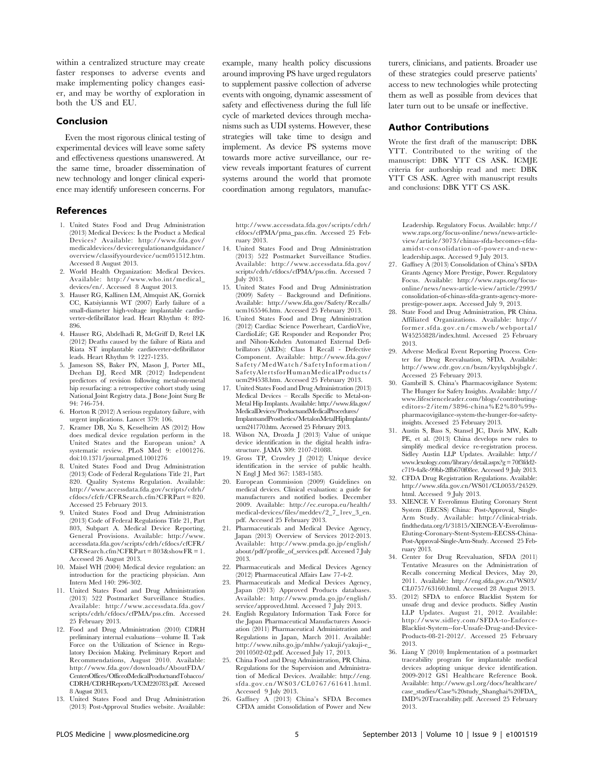within a centralized structure may create faster responses to adverse events and make implementing policy changes easier, and may be worthy of exploration in both the US and EU.

#### Conclusion

Even the most rigorous clinical testing of experimental devices will leave some safety and effectiveness questions unanswered. At the same time, broader dissemination of new technology and longer clinical experience may identify unforeseen concerns. For

#### References

- 1. United States Food and Drug Administration (2013) Medical Devices: Is the Product a Medical Devices? Available: http://www.fda.gov/ medicaldevices/deviceregulationandguidance/ overview/classifyyourdevice/ucm051512.htm. Accessed 8 August 2013.
- 2. World Health Organization: Medical Devices. Available: http://www.who.int/medical\_ devices/en/. Accessed 8 August 2013.
- 3. Hauser RG, Kallinen LM, Almquist AK, Gornick CC, Katsiyiannis WT (2007) Early failure of a small-diameter high-voltage implantable cardioverter-defibrillator lead. Heart Rhythm 4: 892- 896.
- 4. Hauser RG, Abdelhadi R, McGriff D, Retel LK (2012) Deaths caused by the failure of Riata and Riata ST implantable cardioverter-defibrillator leads. Heart Rhythm 9: 1227-1235.
- 5. Jameson SS, Baker PN, Mason J, Porter ML, Deehan DJ, Reed MR (2012) Independent predictors of revision following metal-on-metal hip resurfacing: a retrospective cohort study using National Joint Registry data. J Bone Joint Surg Br 94: 746-754.
- 6. Horton R (2012) A serious regulatory failure, with urgent implications. Lancet 379: 106.
- 7. Kramer DB, Xu S, Kesselheim AS (2012) How does medical device regulation perform in the United States and the European union? A systematic review. PLoS Med 9: e1001276. doi:10.1371/journal.pmed.1001276
- 8. United States Food and Drug Administration (2013) Code of Federal Regulations Title 21, Part 820. Quality Systems Regulation. Available: http://www.accessdata.fda.gov/scripts/cdrh/ cfdocs/cfcfr/CFRSearch.cfm?CFRPart = 820. Accessed 25 February 2013.
- 9. United States Food and Drug Administration (2013) Code of Federal Regulations Title 21, Part 803, Subpart A. Medical Device Reporting, General Provisions. Available: http://www. accessdata.fda.gov/scripts/cdrh/cfdocs/cfCFR/ CFRSearch.cfm?CFRPart = 803&showFR = 1. Accessed 26 August 2013.
- 10. Maisel WH (2004) Medical device regulation: an introduction for the practicing physician. Ann Intern Med 140: 296-302.
- 11. United States Food and Drug Administration (2013) 522 Postmarket Surveillance Studies. Available: http://www.accessdata.fda.gov/ scripts/cdrh/cfdocs/cfPMA/pss.cfm. Accessed 25 February 2013.
- 12. Food and Drug Administration (2010) CDRH preliminary internal evaluations—volume II. Task Force on the Utilization of Science in Regulatory Decision Making. Preliminary Report and Recommendations, August 2010. Available: http://www.fda.gov/downloads/AboutFDA/ CentersOffices/OfficeofMedicalProductsandTobacco/ CDRH/CDRHReports/UCM220783.pdf. Accessed 8 August 2013.
- 13. United States Food and Drug Administration (2013) Post-Approval Studies website. Available:

example, many health policy discussions around improving PS have urged regulators to supplement passive collection of adverse events with ongoing, dynamic assessment of safety and effectiveness during the full life cycle of marketed devices through mechanisms such as UDI systems. However, these strategies will take time to design and implement. As device PS systems move towards more active surveillance, our review reveals important features of current systems around the world that promote coordination among regulators, manufac-

http://www.accessdata.fda.gov/scripts/cdrh/ cfdocs/cfPMA/pma\_pas.cfm. Accessed 25 February 2013.

- 14. United States Food and Drug Administration (2013) 522 Postmarket Surveillance Studies. Available: http://www.accessdata.fda.gov/ scripts/cdrh/cfdocs/cfPMA/pss.cfm. Accessed 7 July 2013.
- 15. United States Food and Drug Administration (2009) Safety – Background and Definitions. Available: http://www.fda.gov/Safety/Recalls/ ucm165546.htm. Accessed 25 February 2013.
- 16. United States Food and Drug Administration (2012) Cardiac Science Powerheart, CardioVive, CardioLife; GE Responder and Responder Pro; and Nihon-Kohden Automated External Defibrillators (AEDs): Class I Recall - Defective Component. Available: http://www.fda.gov/ Safety/MedWatch/SafetyInformation/ SafetyAlertsforHumanMedicalProducts/ ucm294538.htm. Accessed 25 February 2013.
- 17. United States Food and Drug Administration (2013) Medical Devices – Recalls Specific to Metal-on-Metal Hip Implants. Available: http://www.fda.gov/ MedicalDevices/ProductsandMedicalProcedures/ ImplantsandProsthetics/MetalonMetalHipImplants/ ucm241770.htm. Accessed 25 February 2013.
- 18. Wilson NA, Drozda J (2013) Value of unique device identification in the digital health infrastructure. JAMA 309: 2107-21088.
- 19. Gross TP, Crowley J (2012) Unique device identification in the service of public health. N Engl J Med 367: 1583-1585.
- 20. European Commission (2009) Guidelines on medical devices. Clinical evaluation: a guide for manufacturers and notified bodies. December 2009. Available: http://ec.europa.eu/health/ medical-devices/files/meddev/2\_7\_1rev\_3\_en. pdf. Accessed 25 February 2013.
- 21. Pharmaceuticals and Medical Device Agency, Japan (2013) Overview of Services 2012-2013. Available: http://www.pmda.go.jp/english/ about/pdf/profile\_of\_services.pdf. Accessed 7 July 2013.
- 22. Pharmaceuticals and Medical Devices Agency (2012) Pharmaceutical Affairs Law 77-4-2.
- 23. Pharmaceuticals and Medical Devices Agency, Japan (2013) Approved Products databases. Available: http://www.pmda.go.jp/english/ service/approved.html. Accessed 7 July 2013.
- 24. English Regulatory Information Task Force for the Japan Pharmaceutical Manufacturers Association (2011) Pharmaceutical Administration and Regulations in Japan, March 2011. Available: http://www.nihs.go.jp/mhlw/yakuji/yakuji-e\_ 20110502-02.pdf. Accessed July 17, 2013.
- 25. China Food and Drug Administration, PR China. Regulations for the Supervision and Administration of Medical Devices. Available: http://eng. sfda.gov.cn/WS03/CL0767/61641.html. Accessed 9 July 2013.
- 26. Gaffney A (2013) China's SFDA Becomes CFDA amidst Consolidation of Power and New

turers, clinicians, and patients. Broader use of these strategies could preserve patients' access to new technologies while protecting them as well as possible from devices that later turn out to be unsafe or ineffective.

#### Author Contributions

Wrote the first draft of the manuscript: DBK YTT. Contributed to the writing of the manuscript: DBK YTT CS ASK. ICMJE criteria for authorship read and met: DBK YTT CS ASK. Agree with manuscript results and conclusions: DBK YTT CS ASK.

Leadership. Regulatory Focus. Available: http:// www.raps.org/focus-online/news/news-articleview/article/3073/chinas-sfda-becomes-cfdaamidst-consolidation-of-power-and-newleadership.aspx. Accessed 9 July 2013.

- 27. Gaffney A (2013) Consolidation of China's SFDA Grants Agency More Prestige, Power. Regulatory Focus. Available: http://www.raps.org/focusonline/news/news-article-view/article/2993/ consolidation-of-chinas-sfda-grants-agency-moreprestige-power.aspx. Accessed July 9, 2013.
- 28. State Food and Drug Administration, PR China. Affiliated Organizations. Available: http:// former.sfda.gov.cn/cmsweb/webportal/ W45255828/index.html. Accessed 25 February 2013.
- 29. Adverse Medical Event Reporting Process. Center for Drug Reevaluation, SFDA. Available: http://www.cdr.gov.cn/bszn/kyylqxblsjbglc/. Accessed 25 February 2013.
- Gambrill S. China's Pharmacovigilance System: The Hunger for Safety Insights. Available: http:// www.lifescienceleader.com/blogs/contributingeditors-2/item/3896-china%E2%80%99spharmacovigilance-system-the-hunger-for-safetyinsights. Accessed 25 February 2013.
- 31. Austin S, Bass S, Stansel JC, Davis MW, Kalb PE, et al. (2013) China develops new rules to simplify medical device re-registration process. Sidley Austin LLP Updates. Available: http:// www.lexology.com/library/detail.aspx?g = 70f3fdd2 c719-4a8c-99bb-2ffb670f08ee. Accessed 9 July 2013.
- 32. CFDA Drug Registration Regulations. Available: http://www.sfda.gov.cn/WS01/CL0053/24529. html. Accessed 9 July 2013.
- 33. XIENCE V Everolimus Eluting Coronary Stent System (EECSS) China: Post-Approval, Single-Arm Study. Available: http://clinical-trials. findthedata.org/l/31815/XIENCE-V-Everolimus-Eluting-Coronary-Stent-System-EECSS-China-Post-Approval-Single-Arm-Study. Accessed 25 February 2013.
- 34. Center for Drug Reevaluation, SFDA (2011) Tentative Measures on the Administration of Recalls concerning Medical Devices, May 20, 2011. Available: http://eng.sfda.gov.cn/WS03/ CL0757/63160.html. Accessed 28 August 2013.
- 35. (2012) SFDA to enforce Blacklist System for unsafe drug and device products. Sidley Austin LLP Updates. August 21, 2012. Available: http://www.sidley.com/SFDA-to-Enforce-Blacklist-System--for-Unsafe-Drug-and-Device-Products-08-21-2012/. Accessed 25 February 2013.
- 36. Liang Y (2010) Implementation of a postmarket traceability program for implantable medical devices adopting unique device identification. 2009-2012 GS1 Healthcare Reference Book. Available: http://www.gs1.org/docs/healthcare/ case\_studies/Case%20study\_Shanghai%20FDA\_ IMD%20Traceability.pdf. Accessed 25 February 2013.